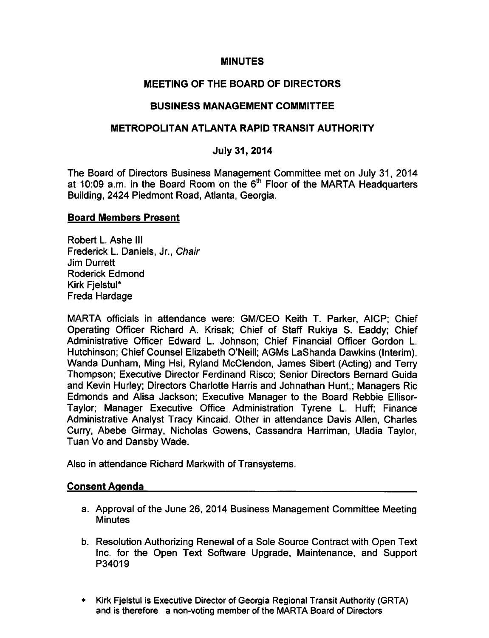## **MINUTES**

# MEETING OF THE BOARD OF DIRECTORS

## BUSINESS MANAGEMENT COMMITTEE

### METROPOLITAN ATLANTA RAPID TRANSIT AUTHORITY

## July 31, 2014

The Board of Directors Business Management Committee met on July 31, 2014 at 10:09 a.m. in the Board Room on the  $6<sup>th</sup>$  Floor of the MARTA Headquarters Building, 2424 Piedmont Road, Atlanta, Georgia.

#### Board Members Present

Robert L. Ashe III Frederick L. Daniels, Jr., Chair Jim Durrett Roderick Edmond Kirk Fjelstul\* Freda Hardage

MARTA officials in attendance were: GM/CEO Keith T. Parker, AICP; Chief Operating Officer Richard A. Krisak; Chief of Staff Rukiya S. Eaddy; Chief Administrative Officer Edward L. Johnson; Chief Financial Officer Gordon L. Hutchinson; Chief Counsel Elizabeth O'Neill; AGMs LaShanda Dawkins (Interim), Wanda Dunham, Ming Hsi, Ryland McClendon, James Sibert (Acting) and Terry Thompson; Executive Director Ferdinand Risco; Senior Directors Bernard Guida and Kevin Hurley; Directors Charlotte Harris and Johnathan Hunt,; Managers Ric Edmonds and Alisa Jackson; Executive Manager to the Board Rebbie Ellisor-Taylor; Manager Executive Office Administration Tyrene L. Huff; Finance Administrative Analyst Tracy Kincaid. Other in attendance Davis Allen, Charles Curry, Abebe Girmay, Nicholas Gowens, Cassandra Harriman, Uladia Taylor, Tuan Vo and Dansby Wade.

Also in attendance Richard Markwith of Transystems.

### Consent Agenda

- a. Approval of the June 26, 2014 Business Management Committee Meeting **Minutes**
- b. Resolution Authorizing Renewal of a Sole Source Contract with Open Text Inc. for the Open Text Software Upgrade, Maintenance, and Support P34019
- Kirk Fjelstul is Executive Director of Georgia Regional Transit Authority (GRTA)  $\ddot{\phantom{1}}$ and is therefore a non-voting member of the MARTA Board of Directors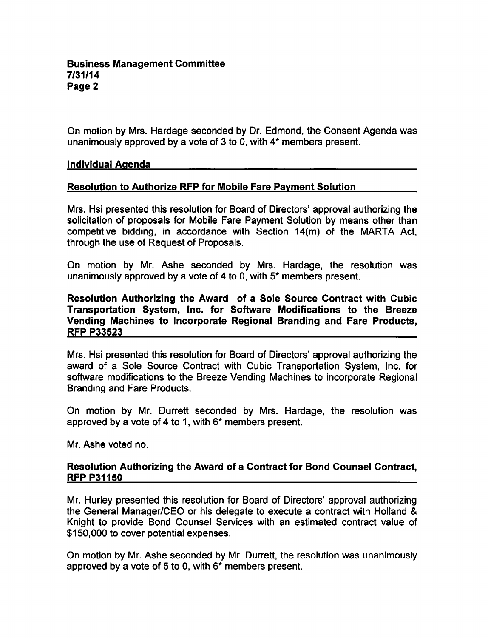On motion by Mrs. Hardage seconded by Dr. Edmond, the Consent Agenda was unanimously approved by a vote of  $3$  to 0, with  $4^*$  members present.

#### Individual Agenda

### Resolution to Authorize RFP for Mobile Fare Payment Solution

Mrs. Hsi presented this resolution for Board of Directors' approval authorizing the solicitation of proposals for Mobile Fare Payment Solution by means other than competitive bidding, in accordance with Section 14(m) of the MARTA Act, through the use of Request of Proposals.

On motion by Mr. Ashe seconded by Mrs. Hardage, the resolution was unanimously approved by a vote of 4 to 0, with  $5*$  members present.

### Resolution Authorizing the Award of a Sole Source Contract with Cubic Transportation System, Inc. for Software Modifications to the Breeze Vending Machines to Incorporate Regional Branding and Fare Products, RFP P33523

Mrs. Hsi presented this resolution for Board of Directors' approval authorizing the award of a Sole Source Contract with Cubic Transportation System, Inc. for software modifications to the Breeze Vending Machines to incorporate Regional Branding and Fare Products.

On motion by Mr. Durrett seconded by Mrs. Hardage, the resolution was approved by a vote of 4 to 1, with  $6*$  members present.

Mr. Ashe voted no.

#### Resolution Authorizing the Award of a Contract for Bond Counsel Contract, **RFP P31150**

Mr. Hurley presented this resolution for Board of Directors' approval authorizing the General Manager/CEO or his delegate to execute a contract with Holland Knight to provide Bond Counsel Services with an estimated contract value of \$150,000 to cover potential expenses.

On motion by Mr. Ashe seconded by Mr. Durrett, the resolution was unanimously approved by a vote of 5 to 0, with  $6*$  members present.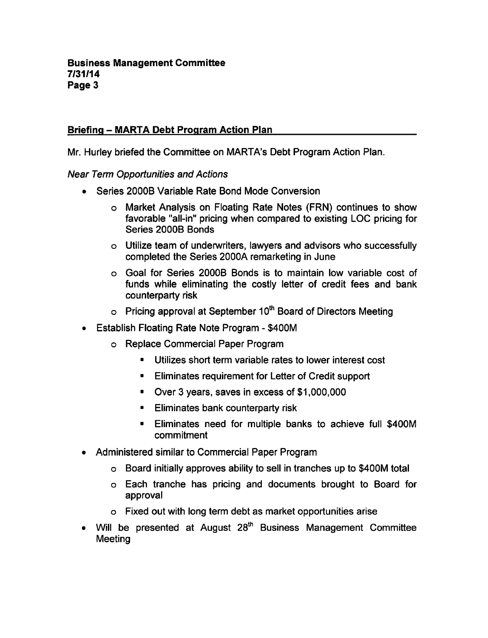# Briefing – MARTA Debt Program Action Plan

Mr. Hurley briefed the Committee on MARTA's Debt Program Action Plan.

Near Term Opportunities and Actions

- Series 2000B Variable Rate Bond Mode Conversion
	- Market Analysis on Floating Rate Notes (FRN) continues to show favorable "all-in" pricing when compared to existing LOC pricing for Series 2000B Bonds
	- Utilize team of underwriters, lawyers and advisors who successfully completed the Series 2000A remarketing in June
	- Goal for Series 2000B Bonds is to maintain low variable cost of funds while eliminating the costly letter of credit fees and bank counterparty risk
	- $\circ$  Pricing approval at September 10<sup>th</sup> Board of Directors Meeting
- **Establish Floating Rate Note Program \$400M**  $\bullet$ 
	- Replace Commercial Paper Program
		- Utilizes short term variable rates to lower interest cost  $\blacksquare$
		- Eliminates requirement for Letter of Credit support  $\blacksquare$
		- Over 3 years, saves in excess of \$1,000,000  $\blacksquare$
		- Eliminates bank counterparty risk  $\blacksquare$
		- Eliminates need for multiple banks to achieve full \$400M  $\blacksquare$ commitment
- Administered similar to Commercial Paper Program
	- Board initially approves ability to sell in tranches up to \$400M total
	- Each tranche has pricing and documents brought to Board for approval
	- Fixed out with long term debt as market opportunities arise
- Will be presented at August 28<sup>th</sup> Business Management Committee  $\bullet$ Meeting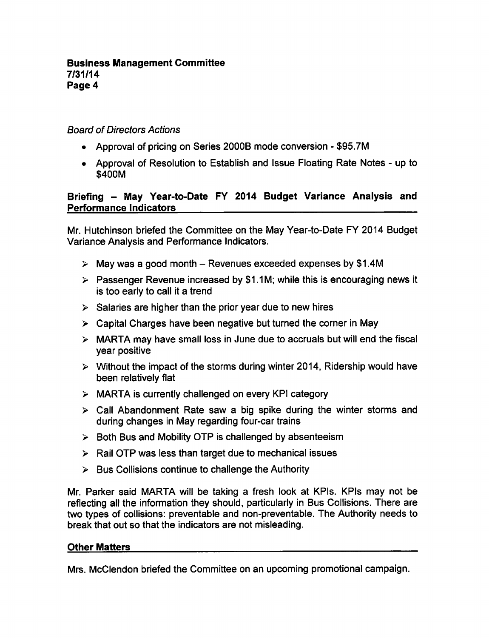# Board of Directors Actions

- Approval of pricing on Series 2000B mode conversion \$95.7M
- Approval of Resolution to Establish and Issue Floating Rate Notes up to \$400M

# Briefing – May Year-to-Date FY 2014 Budget Variance Analysis and Performance Indicators

Mr. Hutchinson briefed the Committee on the May Year-to-Date FY 2014 Budget Variance Analysis and Performance Indicators.

- $\triangleright$  May was a good month Revenues exceeded expenses by \$1.4M
- $\triangleright$  Passenger Revenue increased by \$1.1M; while this is encouraging news it is too early to call it a trend
- $\geq$  Salaries are higher than the prior year due to new hires
- $\triangleright$  Capital Charges have been negative but turned the corner in May
- $\triangleright$  MARTA may have small loss in June due to accruals but will end the fiscal year positive
- $\triangleright$  Without the impact of the storms during winter 2014, Ridership would have been relatively flat
- $\triangleright$  MARTA is currently challenged on every KPI category
- $\triangleright$  Call Abandonment Rate saw a big spike during the winter storms and during changes in May regarding four-car trains
- $\triangleright$  Both Bus and Mobility OTP is challenged by absenteeism
- $\triangleright$  Rail OTP was less than target due to mechanical issues
- $\triangleright$  Bus Collisions continue to challenge the Authority

Mr. Parker said MARTA will be taking a fresh look at KPIs. KPIs may not be reflecting all the information they should, particularly in Bus Collisions. There are two types of collisions: preventable and non-preventable. The Authority needs to break that out so that the indicators are not misleading.

#### Other Matters

Mrs. McClendon briefed the Committee on an upcoming promotional campaign.